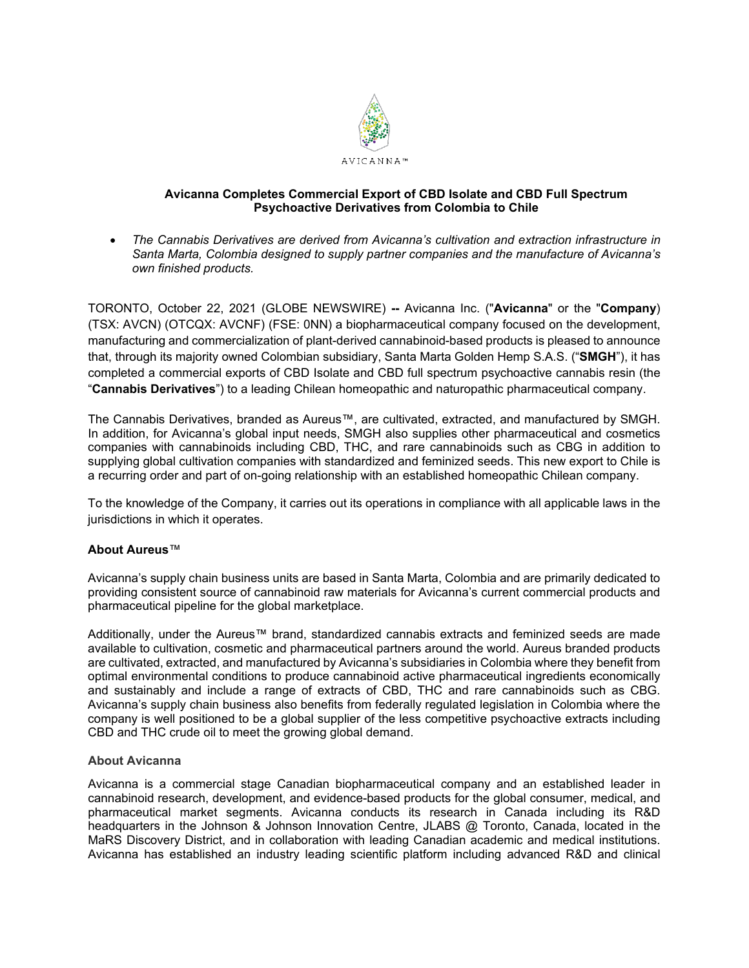

# **Avicanna Completes Commercial Export of CBD Isolate and CBD Full Spectrum Psychoactive Derivatives from Colombia to Chile**

• *The Cannabis Derivatives are derived from Avicanna's cultivation and extraction infrastructure in Santa Marta, Colombia designed to supply partner companies and the manufacture of Avicanna's own finished products.*

TORONTO, October 22, 2021 (GLOBE NEWSWIRE) **--** Avicanna Inc. ("**Avicanna**" or the "**Company**) (TSX: AVCN) (OTCQX: AVCNF) (FSE: 0NN) a biopharmaceutical company focused on the development, manufacturing and commercialization of plant-derived cannabinoid-based products is pleased to announce that, through its majority owned Colombian subsidiary, Santa Marta Golden Hemp S.A.S. ("**SMGH**"), it has completed a commercial exports of CBD Isolate and CBD full spectrum psychoactive cannabis resin (the "**Cannabis Derivatives**") to a leading Chilean homeopathic and naturopathic pharmaceutical company.

The Cannabis Derivatives, branded as Aureus™, are cultivated, extracted, and manufactured by SMGH. In addition, for Avicanna's global input needs, SMGH also supplies other pharmaceutical and cosmetics companies with cannabinoids including CBD, THC, and rare cannabinoids such as CBG in addition to supplying global cultivation companies with standardized and feminized seeds. This new export to Chile is a recurring order and part of on-going relationship with an established homeopathic Chilean company.

To the knowledge of the Company, it carries out its operations in compliance with all applicable laws in the jurisdictions in which it operates.

## **About Aureus**™

Avicanna's supply chain business units are based in Santa Marta, Colombia and are primarily dedicated to providing consistent source of cannabinoid raw materials for Avicanna's current commercial products and pharmaceutical pipeline for the global marketplace.

Additionally, under the Aureus™ brand, standardized cannabis extracts and feminized seeds are made available to cultivation, cosmetic and pharmaceutical partners around the world. Aureus branded products are cultivated, extracted, and manufactured by Avicanna's subsidiaries in Colombia where they benefit from optimal environmental conditions to produce cannabinoid active pharmaceutical ingredients economically and sustainably and include a range of extracts of CBD, THC and rare cannabinoids such as CBG. Avicanna's supply chain business also benefits from federally regulated legislation in Colombia where the company is well positioned to be a global supplier of the less competitive psychoactive extracts including CBD and THC crude oil to meet the growing global demand.

## **About Avicanna**

Avicanna is a commercial stage Canadian biopharmaceutical company and an established leader in cannabinoid research, development, and evidence-based products for the global consumer, medical, and pharmaceutical market segments. Avicanna conducts its research in Canada including its R&D headquarters in the Johnson & Johnson Innovation Centre, JLABS @ Toronto, Canada, located in the MaRS Discovery District, and in collaboration with leading Canadian academic and medical institutions. Avicanna has established an industry leading scientific platform including advanced R&D and clinical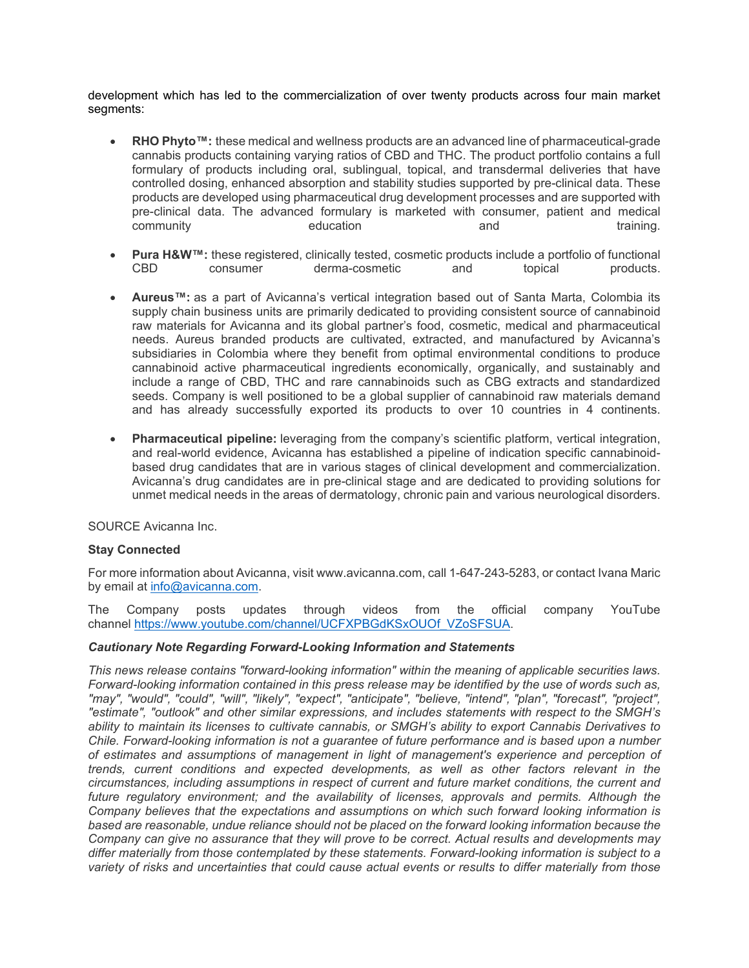development which has led to the commercialization of over twenty products across four main market segments:

- **RHO Phyto™:** these medical and wellness products are an advanced line of pharmaceutical-grade cannabis products containing varying ratios of CBD and THC. The product portfolio contains a full formulary of products including oral, sublingual, topical, and transdermal deliveries that have controlled dosing, enhanced absorption and stability studies supported by pre-clinical data. These products are developed using pharmaceutical drug development processes and are supported with pre-clinical data. The advanced formulary is marketed with consumer, patient and medical community education and training.
- **Pura H&W™:** these registered, clinically tested, cosmetic products include a portfolio of functional CBD consumer derma-cosmetic and topical products.
- **Aureus™:** as a part of Avicanna's vertical integration based out of Santa Marta, Colombia its supply chain business units are primarily dedicated to providing consistent source of cannabinoid raw materials for Avicanna and its global partner's food, cosmetic, medical and pharmaceutical needs. Aureus branded products are cultivated, extracted, and manufactured by Avicanna's subsidiaries in Colombia where they benefit from optimal environmental conditions to produce cannabinoid active pharmaceutical ingredients economically, organically, and sustainably and include a range of CBD, THC and rare cannabinoids such as CBG extracts and standardized seeds. Company is well positioned to be a global supplier of cannabinoid raw materials demand and has already successfully exported its products to over 10 countries in 4 continents.
- **Pharmaceutical pipeline:** leveraging from the company's scientific platform, vertical integration, and real-world evidence, Avicanna has established a pipeline of indication specific cannabinoidbased drug candidates that are in various stages of clinical development and commercialization. Avicanna's drug candidates are in pre-clinical stage and are dedicated to providing solutions for unmet medical needs in the areas of dermatology, chronic pain and various neurological disorders.

SOURCE Avicanna Inc.

## **Stay Connected**

For more information about Avicanna, visit www.avicanna.com, call 1-647-243-5283, or contact Ivana Maric by email at [info@avicanna.com.](mailto:info@avicanna.com)

The Company posts updates through videos from the official company YouTube channel [https://www.youtube.com/channel/UCFXPBGdKSxOUOf\\_VZoSFSUA.](https://www.youtube.com/channel/UCFXPBGdKSxOUOf_VZoSFSUA)

### *Cautionary Note Regarding Forward-Looking Information and Statements*

*This news release contains "forward-looking information" within the meaning of applicable securities laws. Forward-looking information contained in this press release may be identified by the use of words such as, "may", "would", "could", "will", "likely", "expect", "anticipate", "believe, "intend", "plan", "forecast", "project", "estimate", "outlook" and other similar expressions, and includes statements with respect to the SMGH's ability to maintain its licenses to cultivate cannabis, or SMGH's ability to export Cannabis Derivatives to Chile. Forward-looking information is not a guarantee of future performance and is based upon a number of estimates and assumptions of management in light of management's experience and perception of trends, current conditions and expected developments, as well as other factors relevant in the circumstances, including assumptions in respect of current and future market conditions, the current and future regulatory environment; and the availability of licenses, approvals and permits. Although the Company believes that the expectations and assumptions on which such forward looking information is based are reasonable, undue reliance should not be placed on the forward looking information because the Company can give no assurance that they will prove to be correct. Actual results and developments may differ materially from those contemplated by these statements. Forward-looking information is subject to a variety of risks and uncertainties that could cause actual events or results to differ materially from those*